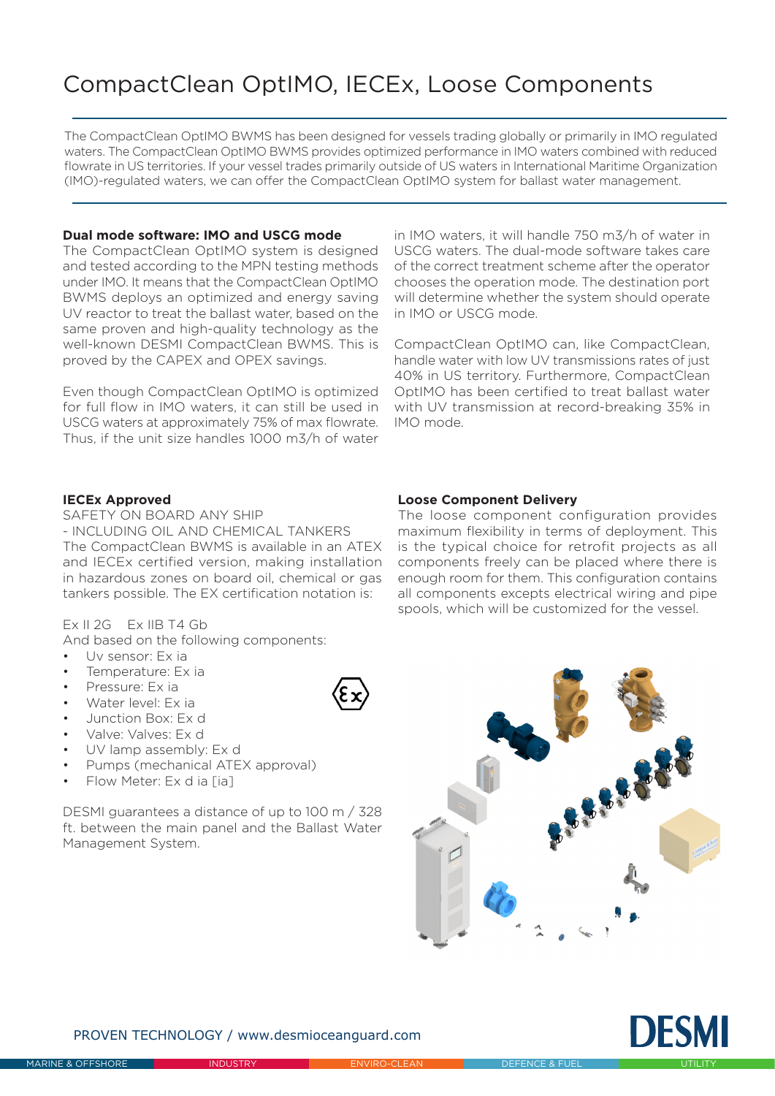# CompactClean OptIMO, IECEx, Loose Components

The CompactClean OptIMO BWMS has been designed for vessels trading globally or primarily in IMO regulated waters. The CompactClean OptIMO BWMS provides optimized performance in IMO waters combined with reduced flowrate in US territories. If your vessel trades primarily outside of US waters in International Maritime Organization (IMO)-regulated waters, we can offer the CompactClean OptIMO system for ballast water management.

## **Dual mode software: IMO and USCG mode**

The CompactClean OptIMO system is designed and tested according to the MPN testing methods under IMO. It means that the CompactClean OptIMO BWMS deploys an optimized and energy saving UV reactor to treat the ballast water, based on the same proven and high-quality technology as the well-known DESMI CompactClean BWMS. This is proved by the CAPEX and OPEX savings.

Even though CompactClean OptIMO is optimized for full flow in IMO waters, it can still be used in USCG waters at approximately 75% of max flowrate. Thus, if the unit size handles 1000 m3/h of water

in IMO waters, it will handle 750 m3/h of water in USCG waters. The dual-mode software takes care of the correct treatment scheme after the operator chooses the operation mode. The destination port will determine whether the system should operate in IMO or USCG mode.

CompactClean OptIMO can, like CompactClean, handle water with low UV transmissions rates of just 40% in US territory. Furthermore, CompactClean OptIMO has been certified to treat ballast water with UV transmission at record-breaking 35% in IMO mode.

#### **IECEx Approved**

SAFETY ON BOARD ANY SHIP - INCLUDING OIL AND CHEMICAL TANKERS The CompactClean BWMS is available in an ATEX and IECEx certified version, making installation in hazardous zones on board oil, chemical or gas tankers possible. The EX certification notation is:

### Ex II 2G Ex IIB T4 Gb

And based on the following components:

- Uv sensor: Ex ia
- Temperature: Ex ia
- Pressure: Ex ia
- Water level: Ex ia
- Junction Box: Ex d
- Valve: Valves: Ex d
- UV lamp assembly: Ex d
- Pumps (mechanical ATEX approval)
- Flow Meter: Ex d ia [ia]

DESMI guarantees a distance of up to 100 m / 328 ft. between the main panel and the Ballast Water Management System.

#### **Loose Component Delivery**

The loose component configuration provides maximum flexibility in terms of deployment. This is the typical choice for retrofit projects as all components freely can be placed where there is enough room for them. This configuration contains all components excepts electrical wiring and pipe spools, which will be customized for the vessel.